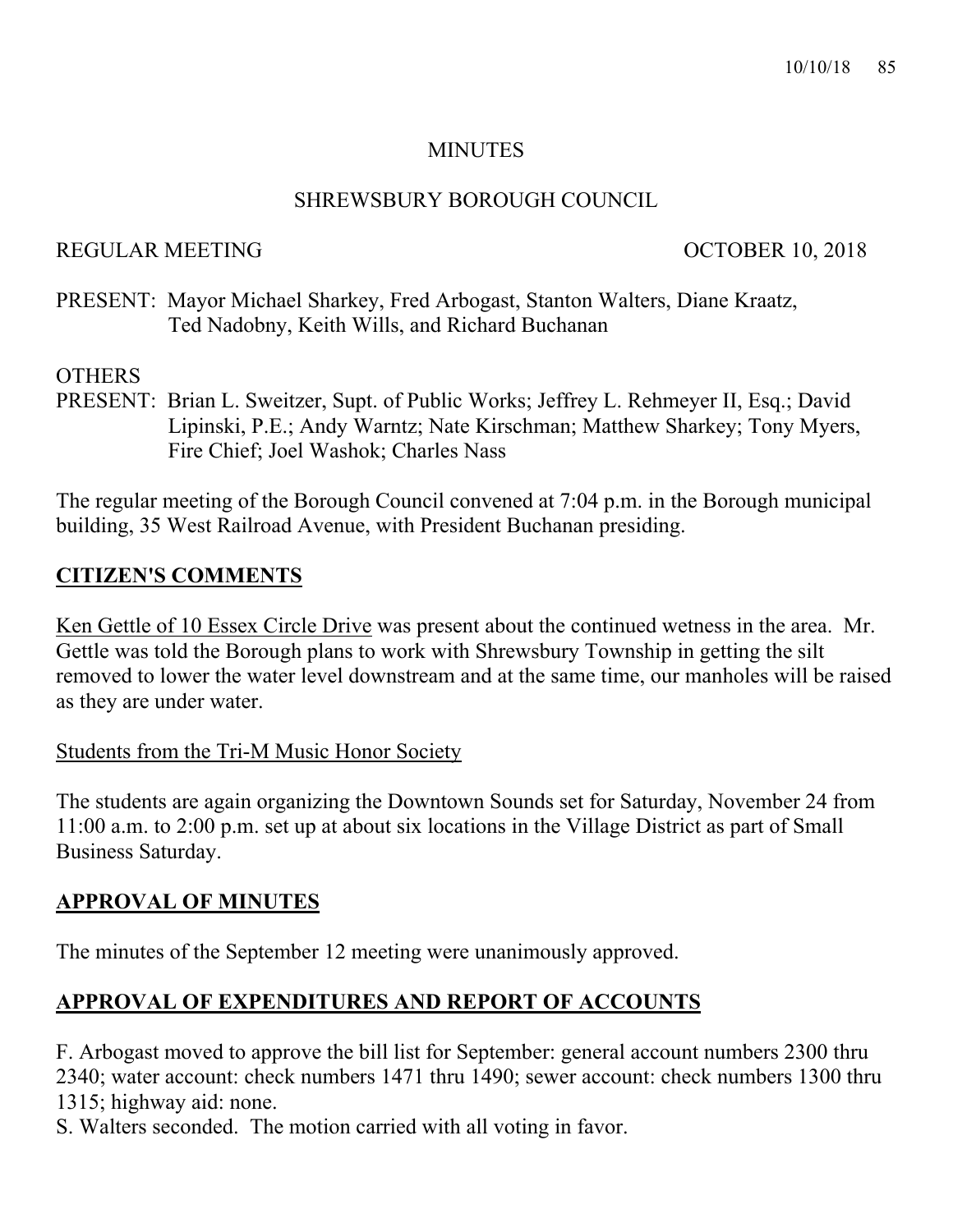#### **MINUTES**

#### SHREWSBURY BOROUGH COUNCIL

#### REGULAR MEETING CONTROLLAR MEETING

PRESENT: Mayor Michael Sharkey, Fred Arbogast, Stanton Walters, Diane Kraatz, Ted Nadobny, Keith Wills, and Richard Buchanan

#### **OTHERS**

PRESENT: Brian L. Sweitzer, Supt. of Public Works; Jeffrey L. Rehmeyer II, Esq.; David Lipinski, P.E.; Andy Warntz; Nate Kirschman; Matthew Sharkey; Tony Myers, Fire Chief; Joel Washok; Charles Nass

The regular meeting of the Borough Council convened at 7:04 p.m. in the Borough municipal building, 35 West Railroad Avenue, with President Buchanan presiding.

#### **CITIZEN'S COMMENTS**

Ken Gettle of 10 Essex Circle Drive was present about the continued wetness in the area. Mr. Gettle was told the Borough plans to work with Shrewsbury Township in getting the silt removed to lower the water level downstream and at the same time, our manholes will be raised as they are under water.

#### Students from the Tri-M Music Honor Society

The students are again organizing the Downtown Sounds set for Saturday, November 24 from 11:00 a.m. to 2:00 p.m. set up at about six locations in the Village District as part of Small Business Saturday.

## **APPROVAL OF MINUTES**

The minutes of the September 12 meeting were unanimously approved.

## **APPROVAL OF EXPENDITURES AND REPORT OF ACCOUNTS**

F. Arbogast moved to approve the bill list for September: general account numbers 2300 thru 2340; water account: check numbers 1471 thru 1490; sewer account: check numbers 1300 thru 1315; highway aid: none.

S. Walters seconded. The motion carried with all voting in favor.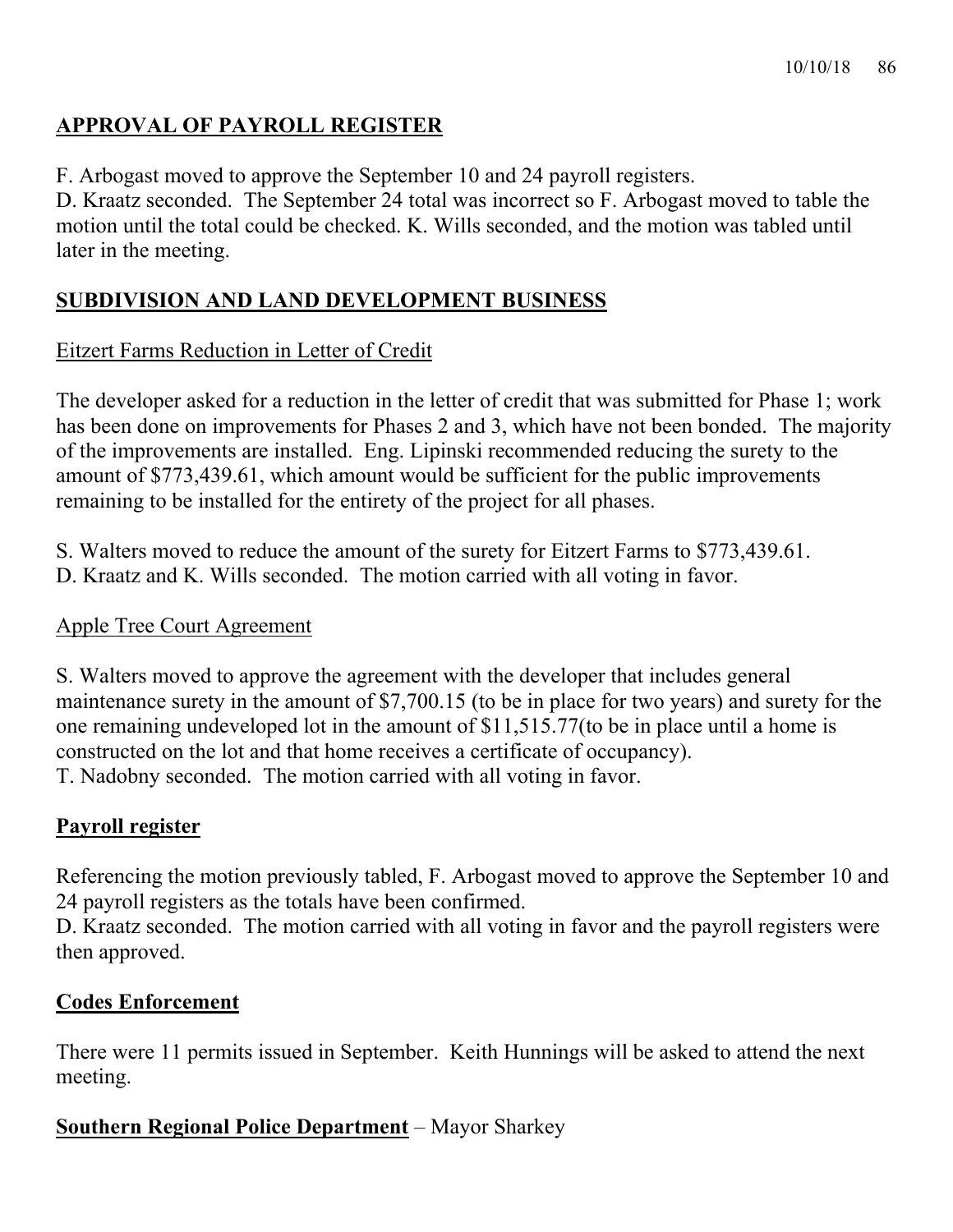# **APPROVAL OF PAYROLL REGISTER**

F. Arbogast moved to approve the September 10 and 24 payroll registers.

D. Kraatz seconded. The September 24 total was incorrect so F. Arbogast moved to table the motion until the total could be checked. K. Wills seconded, and the motion was tabled until later in the meeting.

## **SUBDIVISION AND LAND DEVELOPMENT BUSINESS**

### Eitzert Farms Reduction in Letter of Credit

The developer asked for a reduction in the letter of credit that was submitted for Phase 1; work has been done on improvements for Phases 2 and 3, which have not been bonded. The majority of the improvements are installed. Eng. Lipinski recommended reducing the surety to the amount of \$773,439.61, which amount would be sufficient for the public improvements remaining to be installed for the entirety of the project for all phases.

S. Walters moved to reduce the amount of the surety for Eitzert Farms to \$773,439.61. D. Kraatz and K. Wills seconded. The motion carried with all voting in favor.

#### Apple Tree Court Agreement

S. Walters moved to approve the agreement with the developer that includes general maintenance surety in the amount of \$7,700.15 (to be in place for two years) and surety for the one remaining undeveloped lot in the amount of \$11,515.77(to be in place until a home is constructed on the lot and that home receives a certificate of occupancy). T. Nadobny seconded. The motion carried with all voting in favor.

## **Payroll register**

Referencing the motion previously tabled, F. Arbogast moved to approve the September 10 and 24 payroll registers as the totals have been confirmed.

D. Kraatz seconded. The motion carried with all voting in favor and the payroll registers were then approved.

## **Codes Enforcement**

There were 11 permits issued in September. Keith Hunnings will be asked to attend the next meeting.

## **Southern Regional Police Department** – Mayor Sharkey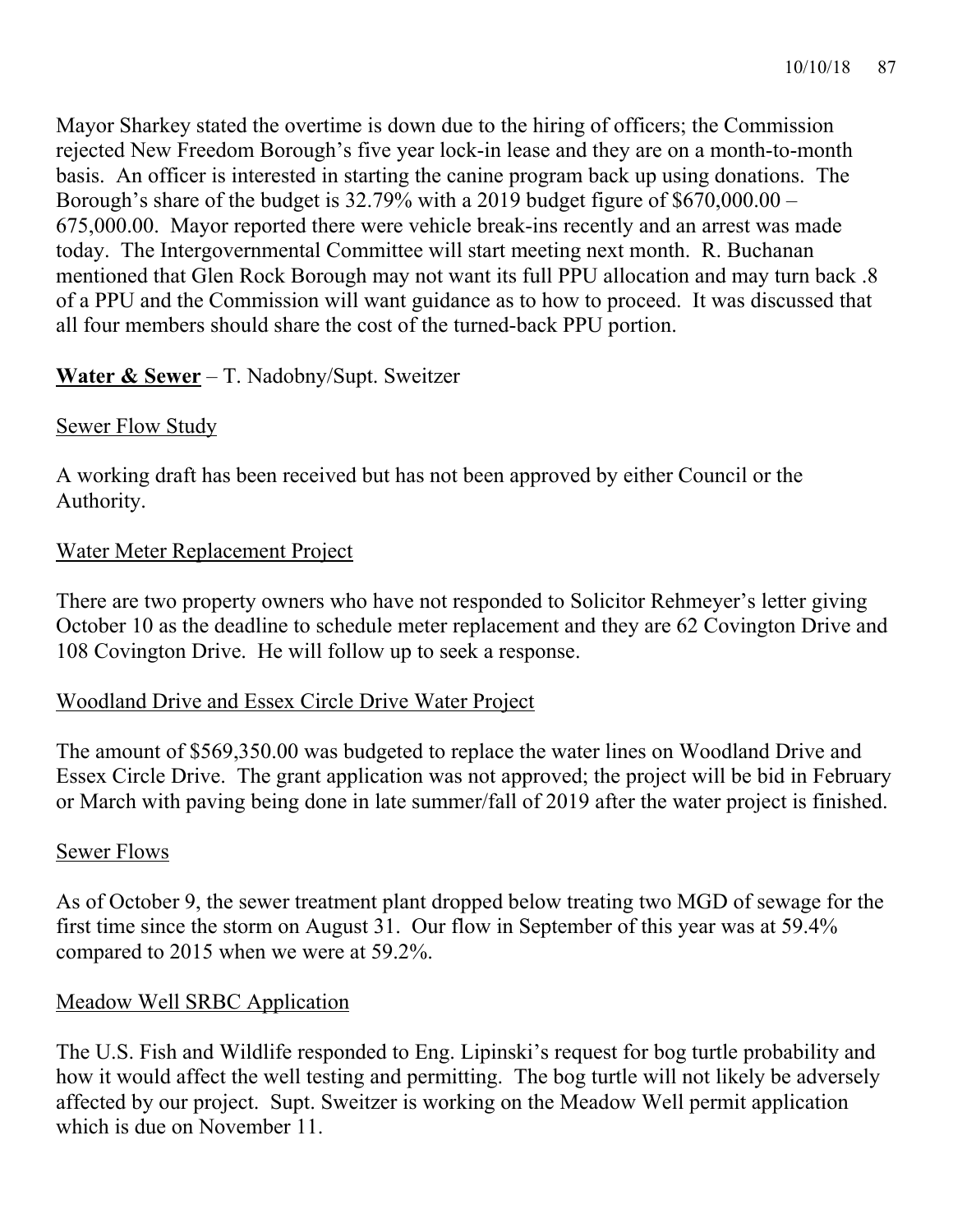Mayor Sharkey stated the overtime is down due to the hiring of officers; the Commission rejected New Freedom Borough's five year lock-in lease and they are on a month-to-month basis. An officer is interested in starting the canine program back up using donations. The Borough's share of the budget is 32.79% with a 2019 budget figure of \$670,000.00 – 675,000.00. Mayor reported there were vehicle break-ins recently and an arrest was made today. The Intergovernmental Committee will start meeting next month. R. Buchanan mentioned that Glen Rock Borough may not want its full PPU allocation and may turn back .8 of a PPU and the Commission will want guidance as to how to proceed. It was discussed that all four members should share the cost of the turned-back PPU portion.

## **Water & Sewer** – T. Nadobny/Supt. Sweitzer

### Sewer Flow Study

A working draft has been received but has not been approved by either Council or the Authority.

### Water Meter Replacement Project

There are two property owners who have not responded to Solicitor Rehmeyer's letter giving October 10 as the deadline to schedule meter replacement and they are 62 Covington Drive and 108 Covington Drive. He will follow up to seek a response.

#### Woodland Drive and Essex Circle Drive Water Project

The amount of \$569,350.00 was budgeted to replace the water lines on Woodland Drive and Essex Circle Drive. The grant application was not approved; the project will be bid in February or March with paving being done in late summer/fall of 2019 after the water project is finished.

#### Sewer Flows

As of October 9, the sewer treatment plant dropped below treating two MGD of sewage for the first time since the storm on August 31. Our flow in September of this year was at 59.4% compared to 2015 when we were at 59.2%.

#### Meadow Well SRBC Application

The U.S. Fish and Wildlife responded to Eng. Lipinski's request for bog turtle probability and how it would affect the well testing and permitting. The bog turtle will not likely be adversely affected by our project. Supt. Sweitzer is working on the Meadow Well permit application which is due on November 11.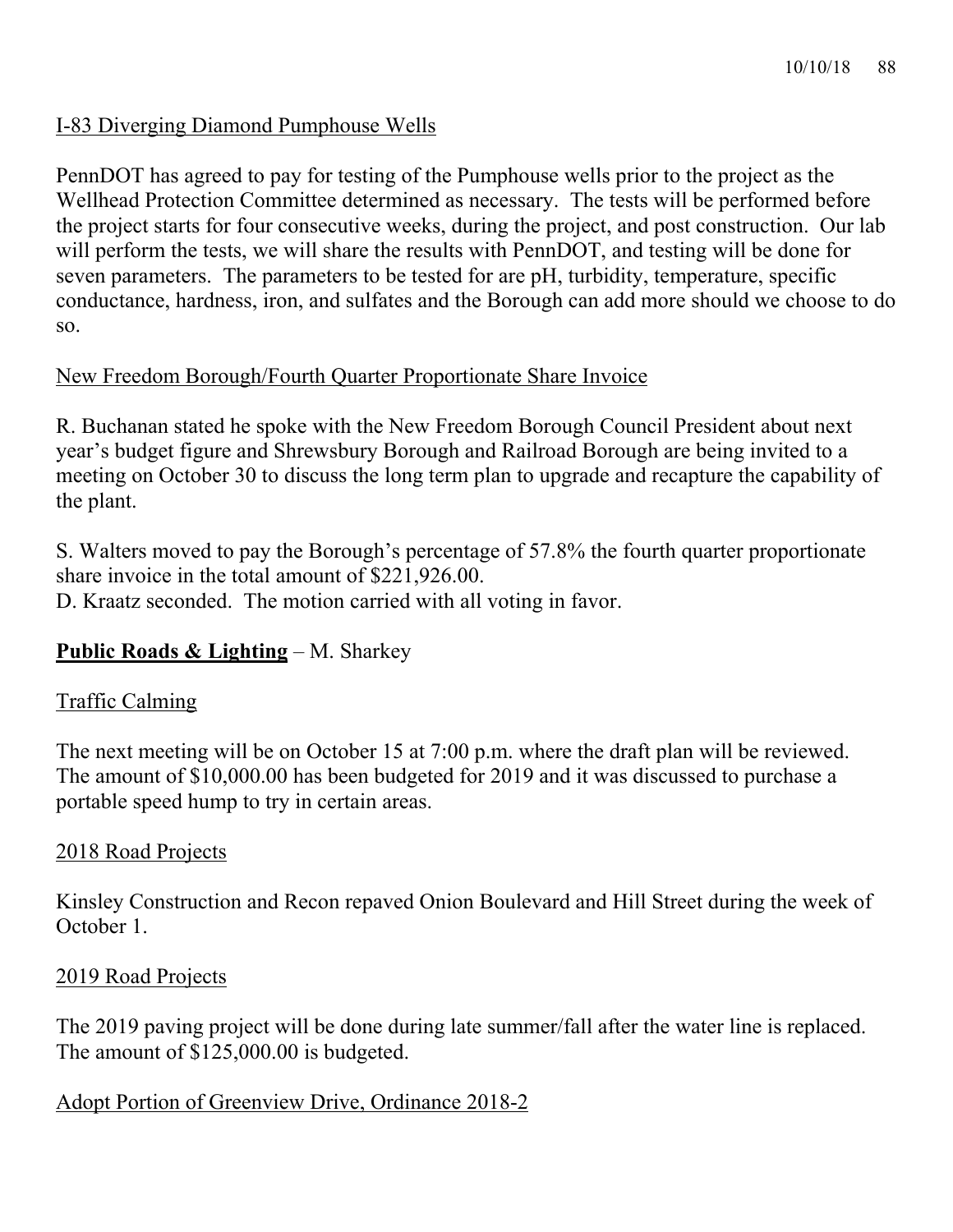### I-83 Diverging Diamond Pumphouse Wells

PennDOT has agreed to pay for testing of the Pumphouse wells prior to the project as the Wellhead Protection Committee determined as necessary. The tests will be performed before the project starts for four consecutive weeks, during the project, and post construction. Our lab will perform the tests, we will share the results with PennDOT, and testing will be done for seven parameters. The parameters to be tested for are pH, turbidity, temperature, specific conductance, hardness, iron, and sulfates and the Borough can add more should we choose to do so.

## New Freedom Borough/Fourth Quarter Proportionate Share Invoice

R. Buchanan stated he spoke with the New Freedom Borough Council President about next year's budget figure and Shrewsbury Borough and Railroad Borough are being invited to a meeting on October 30 to discuss the long term plan to upgrade and recapture the capability of the plant.

S. Walters moved to pay the Borough's percentage of 57.8% the fourth quarter proportionate share invoice in the total amount of \$221,926.00. D. Kraatz seconded. The motion carried with all voting in favor.

#### **Public Roads & Lighting** – M. Sharkey

#### Traffic Calming

The next meeting will be on October 15 at 7:00 p.m. where the draft plan will be reviewed. The amount of \$10,000.00 has been budgeted for 2019 and it was discussed to purchase a portable speed hump to try in certain areas.

#### 2018 Road Projects

Kinsley Construction and Recon repaved Onion Boulevard and Hill Street during the week of October 1.

#### 2019 Road Projects

The 2019 paving project will be done during late summer/fall after the water line is replaced. The amount of \$125,000.00 is budgeted.

#### Adopt Portion of Greenview Drive, Ordinance 2018-2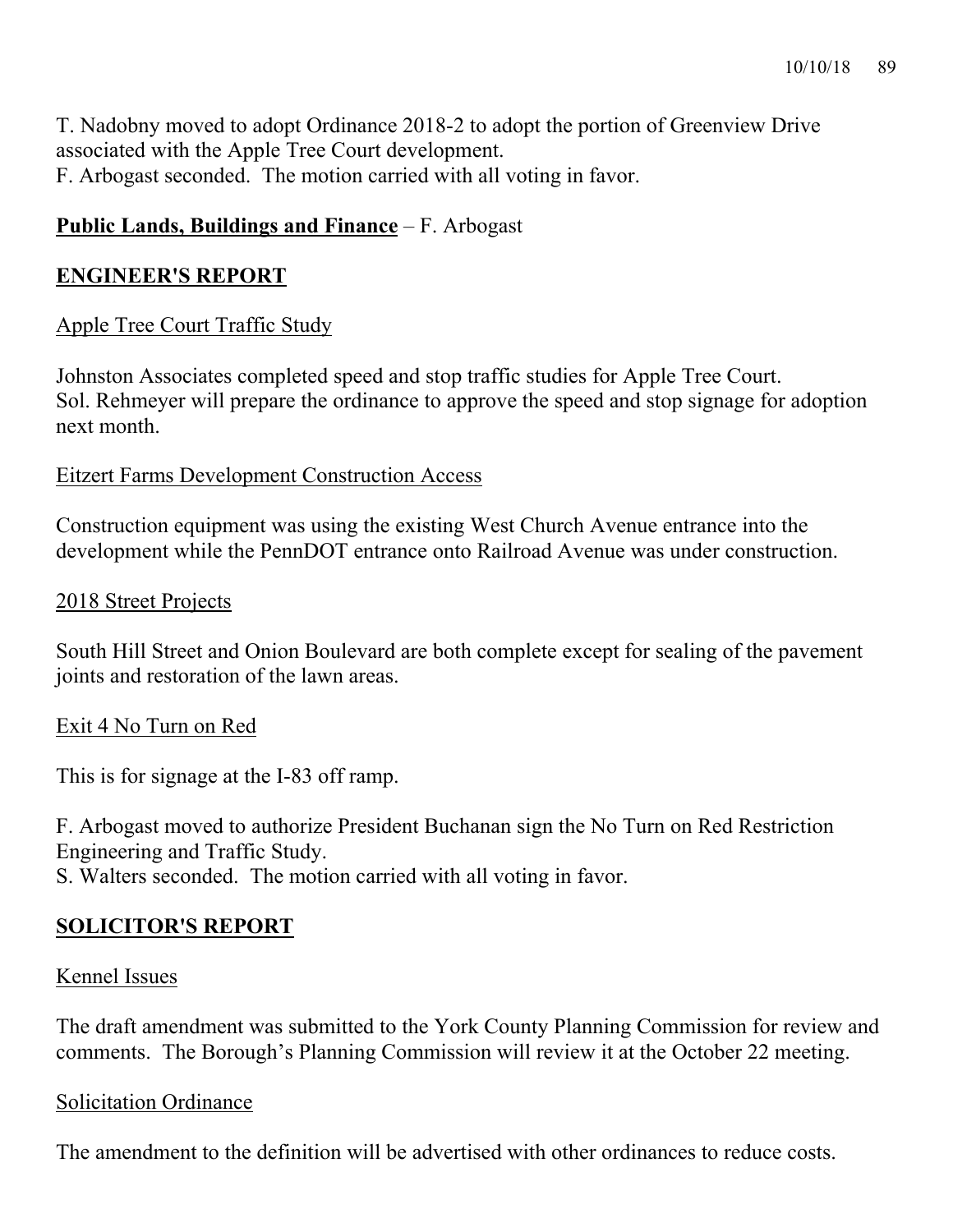T. Nadobny moved to adopt Ordinance 2018-2 to adopt the portion of Greenview Drive associated with the Apple Tree Court development. F. Arbogast seconded. The motion carried with all voting in favor.

## **Public Lands, Buildings and Finance** – F. Arbogast

## **ENGINEER'S REPORT**

# Apple Tree Court Traffic Study

Johnston Associates completed speed and stop traffic studies for Apple Tree Court. Sol. Rehmeyer will prepare the ordinance to approve the speed and stop signage for adoption next month.

## Eitzert Farms Development Construction Access

Construction equipment was using the existing West Church Avenue entrance into the development while the PennDOT entrance onto Railroad Avenue was under construction.

### 2018 Street Projects

South Hill Street and Onion Boulevard are both complete except for sealing of the pavement joints and restoration of the lawn areas.

## Exit 4 No Turn on Red

This is for signage at the I-83 off ramp.

F. Arbogast moved to authorize President Buchanan sign the No Turn on Red Restriction Engineering and Traffic Study.

S. Walters seconded. The motion carried with all voting in favor.

# **SOLICITOR'S REPORT**

## Kennel Issues

The draft amendment was submitted to the York County Planning Commission for review and comments. The Borough's Planning Commission will review it at the October 22 meeting.

## Solicitation Ordinance

The amendment to the definition will be advertised with other ordinances to reduce costs.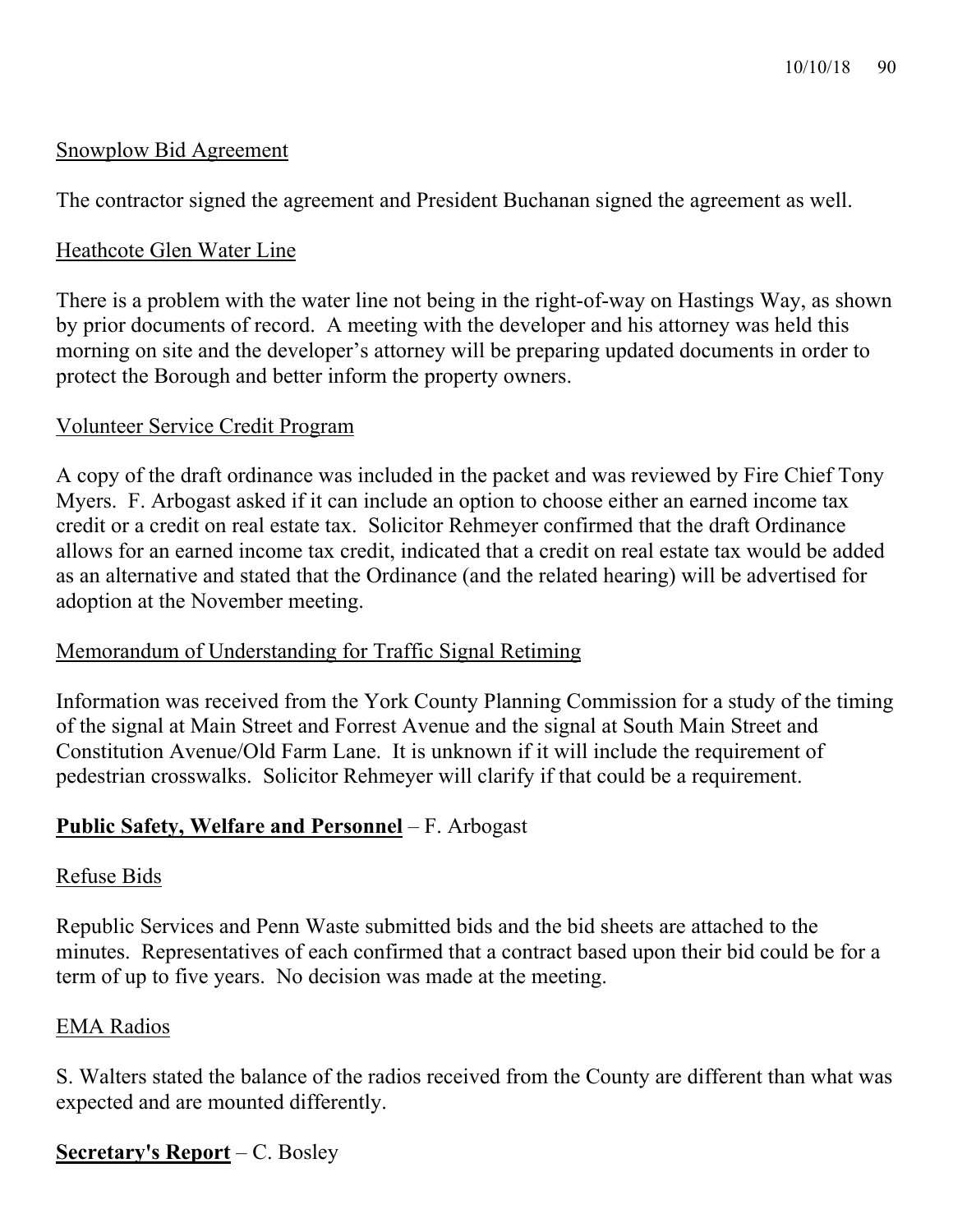### Snowplow Bid Agreement

The contractor signed the agreement and President Buchanan signed the agreement as well.

### Heathcote Glen Water Line

There is a problem with the water line not being in the right-of-way on Hastings Way, as shown by prior documents of record. A meeting with the developer and his attorney was held this morning on site and the developer's attorney will be preparing updated documents in order to protect the Borough and better inform the property owners.

### Volunteer Service Credit Program

A copy of the draft ordinance was included in the packet and was reviewed by Fire Chief Tony Myers. F. Arbogast asked if it can include an option to choose either an earned income tax credit or a credit on real estate tax. Solicitor Rehmeyer confirmed that the draft Ordinance allows for an earned income tax credit, indicated that a credit on real estate tax would be added as an alternative and stated that the Ordinance (and the related hearing) will be advertised for adoption at the November meeting.

#### Memorandum of Understanding for Traffic Signal Retiming

Information was received from the York County Planning Commission for a study of the timing of the signal at Main Street and Forrest Avenue and the signal at South Main Street and Constitution Avenue/Old Farm Lane. It is unknown if it will include the requirement of pedestrian crosswalks. Solicitor Rehmeyer will clarify if that could be a requirement.

## **Public Safety, Welfare and Personnel** – F. Arbogast

#### Refuse Bids

Republic Services and Penn Waste submitted bids and the bid sheets are attached to the minutes. Representatives of each confirmed that a contract based upon their bid could be for a term of up to five years. No decision was made at the meeting.

#### EMA Radios

S. Walters stated the balance of the radios received from the County are different than what was expected and are mounted differently.

## **Secretary's Report** – C. Bosley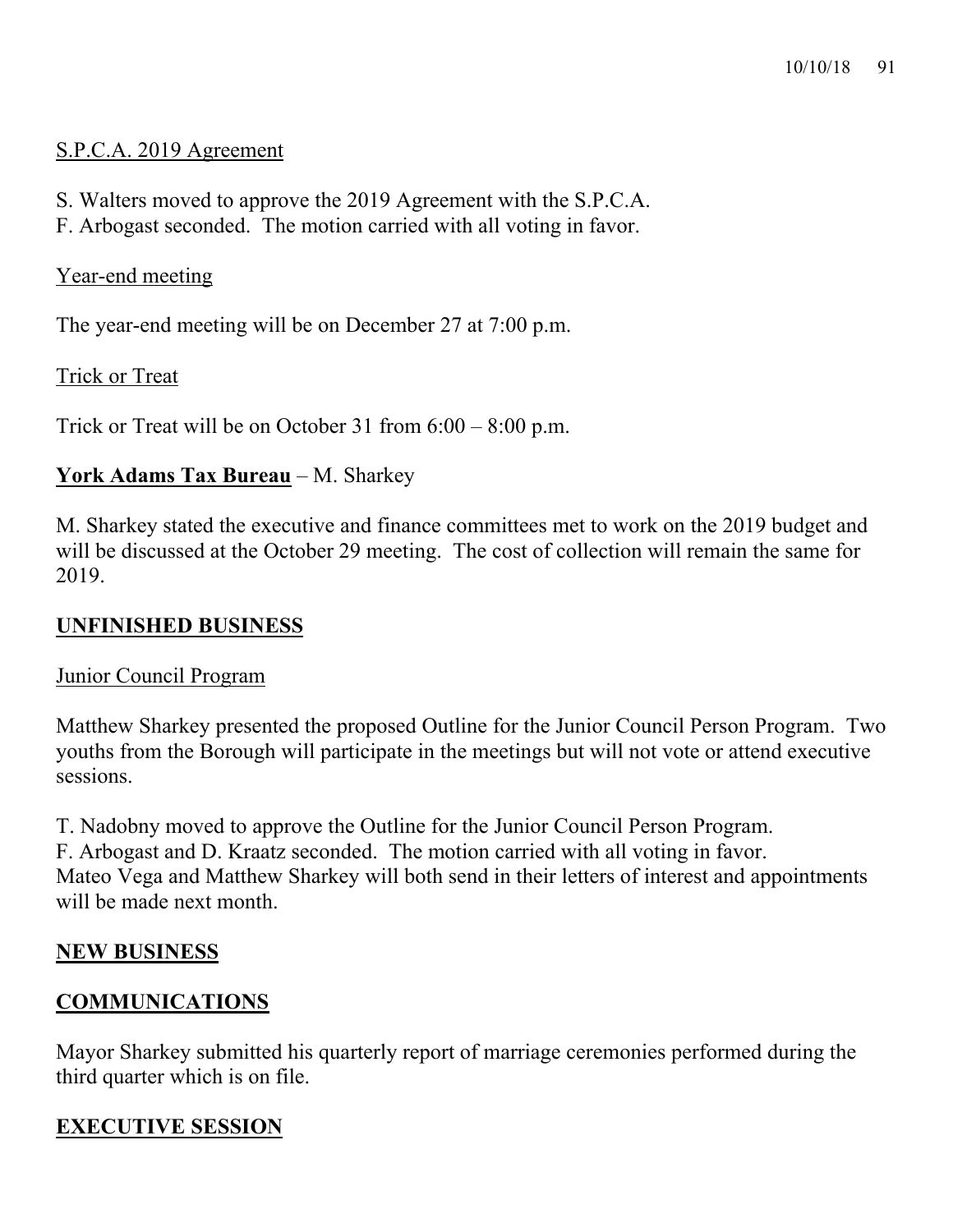### S.P.C.A. 2019 Agreement

- S. Walters moved to approve the 2019 Agreement with the S.P.C.A.
- F. Arbogast seconded. The motion carried with all voting in favor.

### Year-end meeting

The year-end meeting will be on December 27 at 7:00 p.m.

Trick or Treat

Trick or Treat will be on October 31 from 6:00 – 8:00 p.m.

## **York Adams Tax Bureau** – M. Sharkey

M. Sharkey stated the executive and finance committees met to work on the 2019 budget and will be discussed at the October 29 meeting. The cost of collection will remain the same for 2019.

### **UNFINISHED BUSINESS**

#### Junior Council Program

Matthew Sharkey presented the proposed Outline for the Junior Council Person Program. Two youths from the Borough will participate in the meetings but will not vote or attend executive sessions.

T. Nadobny moved to approve the Outline for the Junior Council Person Program. F. Arbogast and D. Kraatz seconded. The motion carried with all voting in favor. Mateo Vega and Matthew Sharkey will both send in their letters of interest and appointments will be made next month.

# **NEW BUSINESS**

# **COMMUNICATIONS**

Mayor Sharkey submitted his quarterly report of marriage ceremonies performed during the third quarter which is on file.

# **EXECUTIVE SESSION**